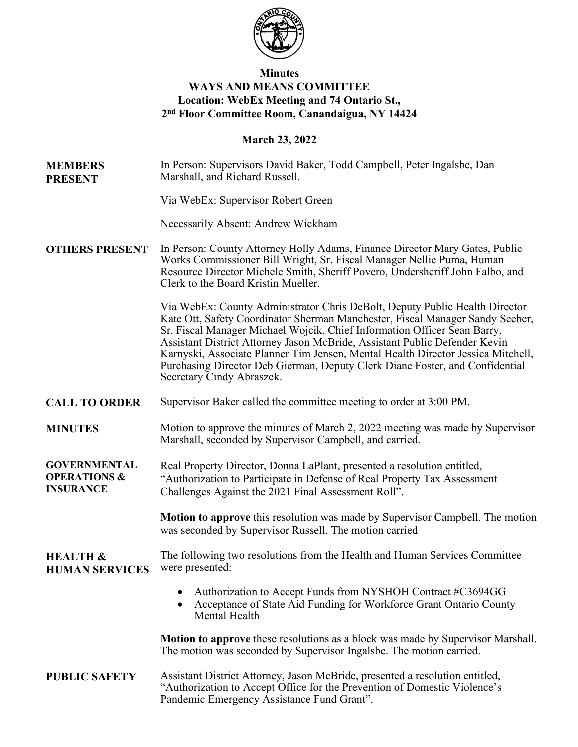

# **Minutes WAYS AND MEANS COMMITTEE Location: WebEx Meeting and 74 Ontario St., 2nd Floor Committee Room, Canandaigua, NY 14424**

## **March 23, 2022**

**MEMBERS PRESENT** In Person: Supervisors David Baker, Todd Campbell, Peter Ingalsbe, Dan Marshall, and Richard Russell.

Via WebEx: Supervisor Robert Green

Necessarily Absent: Andrew Wickham

**OTHERS PRESENT** In Person: County Attorney Holly Adams, Finance Director Mary Gates, Public Works Commissioner Bill Wright, Sr. Fiscal Manager Nellie Puma, Human Resource Director Michele Smith, Sheriff Povero, Undersheriff John Falbo, and Clerk to the Board Kristin Mueller.

> Via WebEx: County Administrator Chris DeBolt, Deputy Public Health Director Kate Ott, Safety Coordinator Sherman Manchester, Fiscal Manager Sandy Seeber, Sr. Fiscal Manager Michael Wojcik, Chief Information Officer Sean Barry, Assistant District Attorney Jason McBride, Assistant Public Defender Kevin Karnyski, Associate Planner Tim Jensen, Mental Health Director Jessica Mitchell, Purchasing Director Deb Gierman, Deputy Clerk Diane Foster, and Confidential Secretary Cindy Abraszek.

- **CALL TO ORDER** Supervisor Baker called the committee meeting to order at 3:00 PM.
- **MINUTES** Motion to approve the minutes of March 2, 2022 meeting was made by Supervisor Marshall, seconded by Supervisor Campbell, and carried.

**GOVERNMENTAL OPERATIONS & INSURANCE** Real Property Director, Donna LaPlant, presented a resolution entitled, "Authorization to Participate in Defense of Real Property Tax Assessment Challenges Against the 2021 Final Assessment Roll".

> **Motion to approve** this resolution was made by Supervisor Campbell. The motion was seconded by Supervisor Russell. The motion carried

#### **HEALTH & HUMAN SERVICES** The following two resolutions from the Health and Human Services Committee were presented:

- Authorization to Accept Funds from NYSHOH Contract #C3694GG
- Acceptance of State Aid Funding for Workforce Grant Ontario County Mental Health

**Motion to approve** these resolutions as a block was made by Supervisor Marshall. The motion was seconded by Supervisor Ingalsbe. The motion carried.

### **PUBLIC SAFETY** Assistant District Attorney, Jason McBride, presented a resolution entitled, "Authorization to Accept Office for the Prevention of Domestic Violence's Pandemic Emergency Assistance Fund Grant".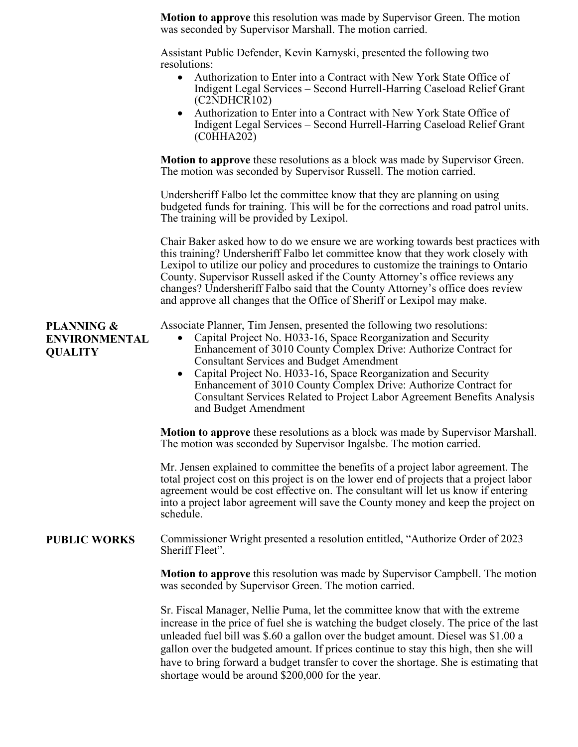| <b>Motion to approve</b> this resolution was made by Supervisor Green. The motion<br>was seconded by Supervisor Marshall. The motion carried.                               |
|-----------------------------------------------------------------------------------------------------------------------------------------------------------------------------|
| Assistant Public Defender, Kevin Karnyski, presented the following two<br>resolutions:                                                                                      |
| Authorization to Enter into a Contract with New York State Office of<br>$\bullet$<br>Indigent Legal Services – Second Hurrell-Harring Caseload Relief Grant<br>(C2NDHCR102) |
| • Authorization to Enter into a Contract with New York State Office of                                                                                                      |

• Authorization to Enter into a Contract with New York State Office of Indigent Legal Services – Second Hurrell-Harring Caseload Relief Grant (C0HHA202)

**Motion to approve** these resolutions as a block was made by Supervisor Green. The motion was seconded by Supervisor Russell. The motion carried.

Undersheriff Falbo let the committee know that they are planning on using budgeted funds for training. This will be for the corrections and road patrol units. The training will be provided by Lexipol.

Chair Baker asked how to do we ensure we are working towards best practices with this training? Undersheriff Falbo let committee know that they work closely with Lexipol to utilize our policy and procedures to customize the trainings to Ontario County. Supervisor Russell asked if the County Attorney's office reviews any changes? Undersheriff Falbo said that the County Attorney's office does review and approve all changes that the Office of Sheriff or Lexipol may make.

Associate Planner, Tim Jensen, presented the following two resolutions:

- Capital Project No. H033-16, Space Reorganization and Security Enhancement of 3010 County Complex Drive: Authorize Contract for Consultant Services and Budget Amendment
- Capital Project No. H033-16, Space Reorganization and Security Enhancement of 3010 County Complex Drive: Authorize Contract for Consultant Services Related to Project Labor Agreement Benefits Analysis and Budget Amendment

**Motion to approve** these resolutions as a block was made by Supervisor Marshall. The motion was seconded by Supervisor Ingalsbe. The motion carried.

Mr. Jensen explained to committee the benefits of a project labor agreement. The total project cost on this project is on the lower end of projects that a project labor agreement would be cost effective on. The consultant will let us know if entering into a project labor agreement will save the County money and keep the project on schedule.

## **PUBLIC WORKS** Commissioner Wright presented a resolution entitled, "Authorize Order of 2023 Sheriff Fleet".

**Motion to approve** this resolution was made by Supervisor Campbell. The motion was seconded by Supervisor Green. The motion carried.

Sr. Fiscal Manager, Nellie Puma, let the committee know that with the extreme increase in the price of fuel she is watching the budget closely. The price of the last unleaded fuel bill was \$.60 a gallon over the budget amount. Diesel was \$1.00 a gallon over the budgeted amount. If prices continue to stay this high, then she will have to bring forward a budget transfer to cover the shortage. She is estimating that shortage would be around \$200,000 for the year.

**PLANNING & ENVIRONMENTAL QUALITY**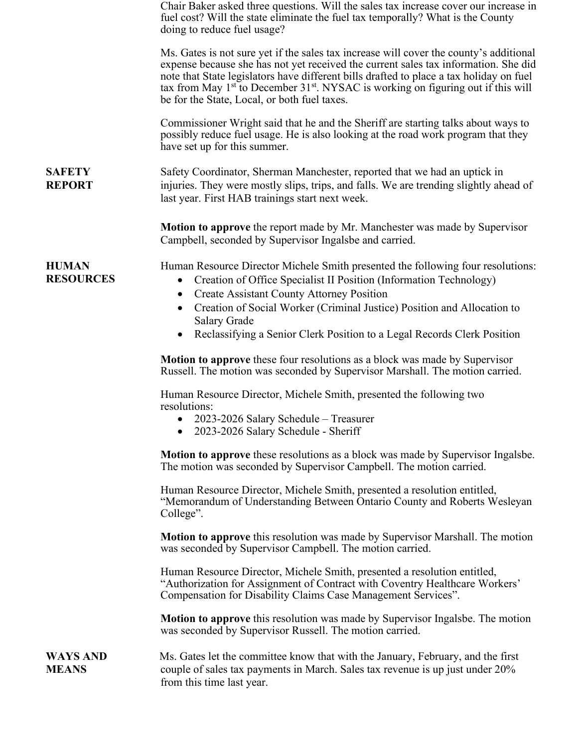|                                  | Chair Baker asked three questions. Will the sales tax increase cover our increase in<br>fuel cost? Will the state eliminate the fuel tax temporally? What is the County<br>doing to reduce fuel usage?                                                                                                                                                                                                                                     |
|----------------------------------|--------------------------------------------------------------------------------------------------------------------------------------------------------------------------------------------------------------------------------------------------------------------------------------------------------------------------------------------------------------------------------------------------------------------------------------------|
|                                  | Ms. Gates is not sure yet if the sales tax increase will cover the county's additional<br>expense because she has not yet received the current sales tax information. She did<br>note that State legislators have different bills drafted to place a tax holiday on fuel<br>tax from May $1st$ to December 31 <sup>st</sup> . NYSAC is working on figuring out if this will<br>be for the State, Local, or both fuel taxes.                |
|                                  | Commissioner Wright said that he and the Sheriff are starting talks about ways to<br>possibly reduce fuel usage. He is also looking at the road work program that they<br>have set up for this summer.                                                                                                                                                                                                                                     |
| <b>SAFETY</b><br><b>REPORT</b>   | Safety Coordinator, Sherman Manchester, reported that we had an uptick in<br>injuries. They were mostly slips, trips, and falls. We are trending slightly ahead of<br>last year. First HAB trainings start next week.                                                                                                                                                                                                                      |
|                                  | <b>Motion to approve</b> the report made by Mr. Manchester was made by Supervisor<br>Campbell, seconded by Supervisor Ingalsbe and carried.                                                                                                                                                                                                                                                                                                |
| <b>HUMAN</b><br><b>RESOURCES</b> | Human Resource Director Michele Smith presented the following four resolutions:<br>Creation of Office Specialist II Position (Information Technology)<br>$\bullet$<br><b>Create Assistant County Attorney Position</b><br>$\bullet$<br>Creation of Social Worker (Criminal Justice) Position and Allocation to<br>$\bullet$<br><b>Salary Grade</b><br>Reclassifying a Senior Clerk Position to a Legal Records Clerk Position<br>$\bullet$ |
|                                  | <b>Motion to approve</b> these four resolutions as a block was made by Supervisor<br>Russell. The motion was seconded by Supervisor Marshall. The motion carried.                                                                                                                                                                                                                                                                          |
|                                  | Human Resource Director, Michele Smith, presented the following two<br>resolutions:<br>• 2023-2026 Salary Schedule – Treasurer<br>2023-2026 Salary Schedule - Sheriff                                                                                                                                                                                                                                                                      |
|                                  | Motion to approve these resolutions as a block was made by Supervisor Ingalsbe.<br>The motion was seconded by Supervisor Campbell. The motion carried.                                                                                                                                                                                                                                                                                     |
|                                  | Human Resource Director, Michele Smith, presented a resolution entitled,<br>"Memorandum of Understanding Between Ontario County and Roberts Wesleyan<br>College".                                                                                                                                                                                                                                                                          |
|                                  | <b>Motion to approve</b> this resolution was made by Supervisor Marshall. The motion<br>was seconded by Supervisor Campbell. The motion carried.                                                                                                                                                                                                                                                                                           |
|                                  | Human Resource Director, Michele Smith, presented a resolution entitled,<br>"Authorization for Assignment of Contract with Coventry Healthcare Workers'<br>Compensation for Disability Claims Case Management Services".                                                                                                                                                                                                                   |
|                                  | <b>Motion to approve</b> this resolution was made by Supervisor Ingalsbe. The motion<br>was seconded by Supervisor Russell. The motion carried.                                                                                                                                                                                                                                                                                            |
| <b>WAYS AND</b><br><b>MEANS</b>  | Ms. Gates let the committee know that with the January, February, and the first<br>couple of sales tax payments in March. Sales tax revenue is up just under 20%<br>from this time last year.                                                                                                                                                                                                                                              |